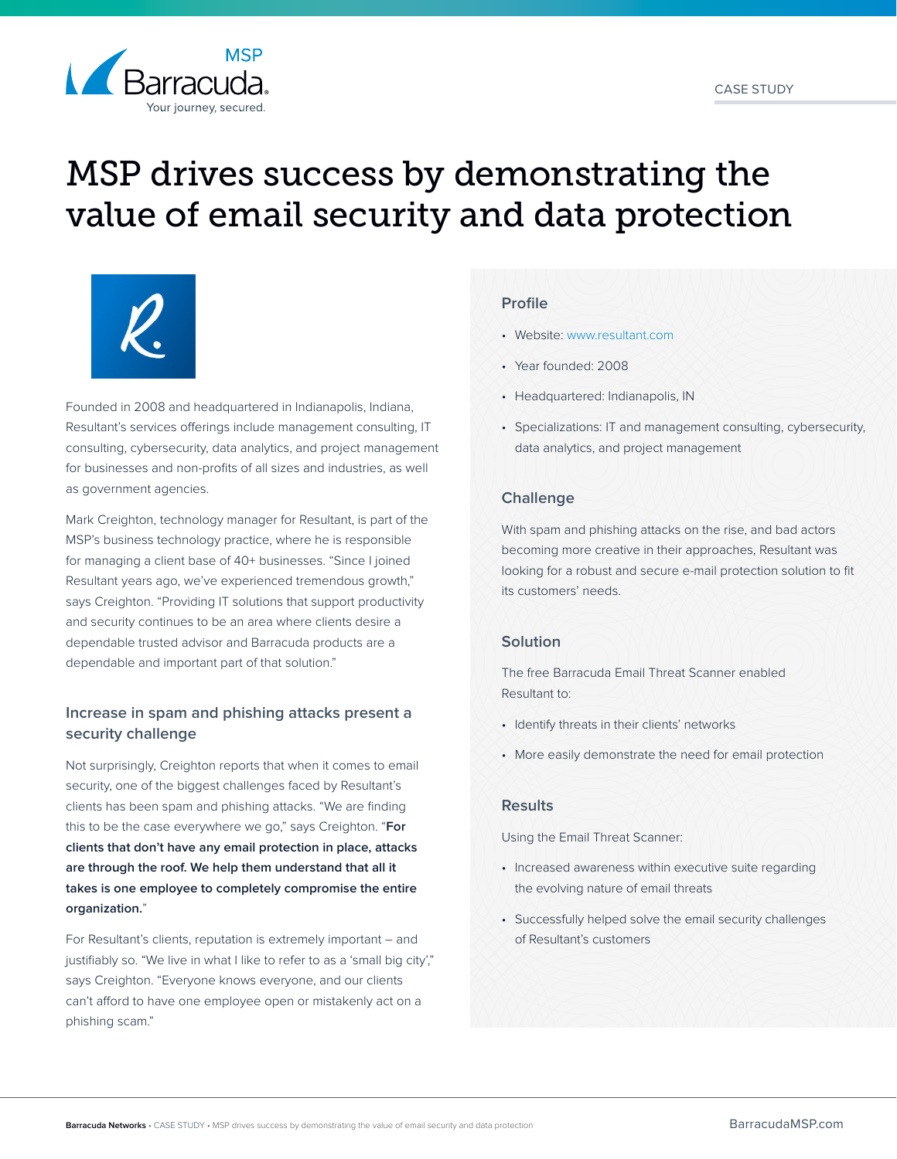

# MSP drives success by demonstrating the value of email security and data protection



Founded in 2008 and headquartered in Indianapolis, Indiana, Resultant's services offerings include management consulting, IT consulting, cybersecurity, data analytics, and project management for businesses and non-profits of all sizes and industries, as well as government agencies.

Mark Creighton, technology manager for Resultant, is part of the MSP's business technology practice, where he is responsible for managing a client base of 40+ businesses. "Since I joined Resultant years ago, we've experienced tremendous growth," says Creighton. "Providing IT solutions that support productivity and security continues to be an area where clients desire a dependable trusted advisor and Barracuda products are a dependable and important part of that solution."

# **Increase in spam and phishing attacks present a security challenge**

Not surprisingly, Creighton reports that when it comes to email security, one of the biggest challenges faced by Resultant's clients has been spam and phishing attacks. "We are finding this to be the case everywhere we go," says Creighton. "**For clients that don't have any email protection in place, attacks are through the roof. We help them understand that all it takes is one employee to completely compromise the entire organization.**"

For Resultant's clients, reputation is extremely important – and justifiably so. "We live in what I like to refer to as a 'small big city'," says Creighton. "Everyone knows everyone, and our clients can't afford to have one employee open or mistakenly act on a phishing scam."

#### **Profile**

- Website: [www.resultant.com](http://www.resultant.com)
- Year founded: 2008
- Headquartered: Indianapolis, IN
- Specializations: IT and management consulting, cybersecurity, data analytics, and project management

### **Challenge**

With spam and phishing attacks on the rise, and bad actors becoming more creative in their approaches, Resultant was looking for a robust and secure e-mail protection solution to fit its customers' needs.

### **Solution**

The free Barracuda Email Threat Scanner enabled Resultant to:

- Identify threats in their clients' networks
- More easily demonstrate the need for email protection

#### **Results**

Using the Email Threat Scanner:

- Increased awareness within executive suite regarding the evolving nature of email threats
- Successfully helped solve the email security challenges of Resultant's customers